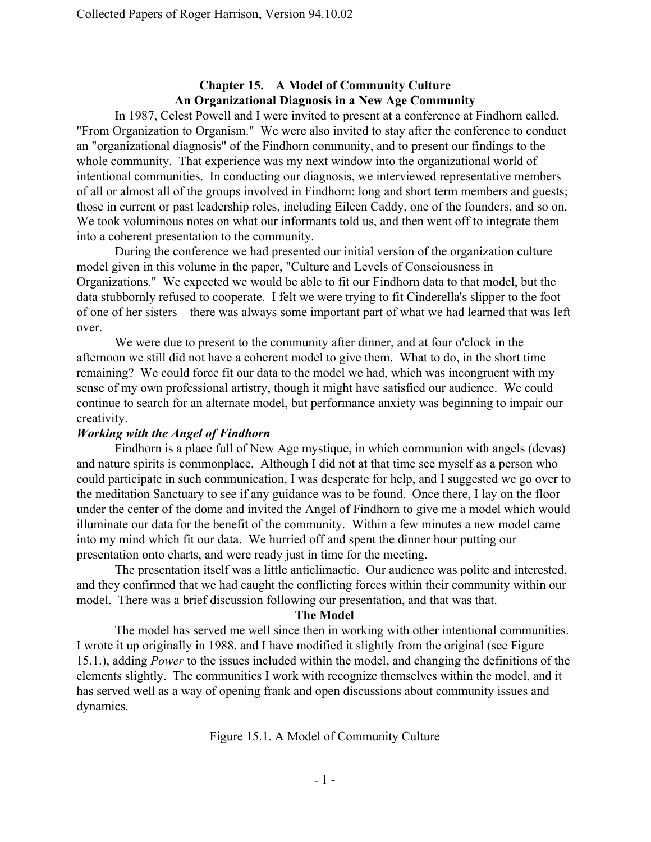# **Chapter 15. A Model of Community Culture An Organizational Diagnosis in a New Age Community**

In 1987, Celest Powell and I were invited to present at a conference at Findhorn called, "From Organization to Organism." We were also invited to stay after the conference to conduct an "organizational diagnosis" of the Findhorn community, and to present our findings to the whole community. That experience was my next window into the organizational world of intentional communities. In conducting our diagnosis, we interviewed representative members of all or almost all of the groups involved in Findhorn: long and short term members and guests; those in current or past leadership roles, including Eileen Caddy, one of the founders, and so on. We took voluminous notes on what our informants told us, and then went off to integrate them into a coherent presentation to the community.

During the conference we had presented our initial version of the organization culture model given in this volume in the paper, "Culture and Levels of Consciousness in Organizations." We expected we would be able to fit our Findhorn data to that model, but the data stubbornly refused to cooperate. I felt we were trying to fit Cinderella's slipper to the foot of one of her sisters—there was always some important part of what we had learned that was left over.

We were due to present to the community after dinner, and at four o'clock in the afternoon we still did not have a coherent model to give them. What to do, in the short time remaining? We could force fit our data to the model we had, which was incongruent with my sense of my own professional artistry, though it might have satisfied our audience. We could continue to search for an alternate model, but performance anxiety was beginning to impair our creativity.

# *Working with the Angel of Findhorn*

Findhorn is a place full of New Age mystique, in which communion with angels (devas) and nature spirits is commonplace. Although I did not at that time see myself as a person who could participate in such communication, I was desperate for help, and I suggested we go over to the meditation Sanctuary to see if any guidance was to be found. Once there, I lay on the floor under the center of the dome and invited the Angel of Findhorn to give me a model which would illuminate our data for the benefit of the community. Within a few minutes a new model came into my mind which fit our data. We hurried off and spent the dinner hour putting our presentation onto charts, and were ready just in time for the meeting.

The presentation itself was a little anticlimactic. Our audience was polite and interested, and they confirmed that we had caught the conflicting forces within their community within our model. There was a brief discussion following our presentation, and that was that.

#### **The Model**

The model has served me well since then in working with other intentional communities. I wrote it up originally in 1988, and I have modified it slightly from the original (see Figure 15.1.), adding *Power* to the issues included within the model, and changing the definitions of the elements slightly. The communities I work with recognize themselves within the model, and it has served well as a way of opening frank and open discussions about community issues and dynamics.

Figure 15.1. A Model of Community Culture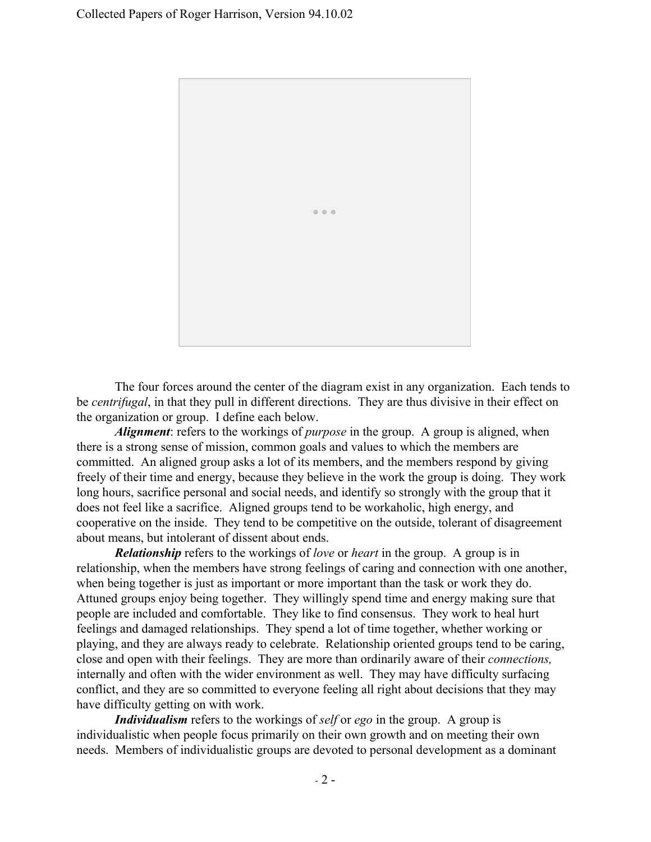

The four forces around the center of the diagram exist in any organization. Each tends to be *centrifugal*, in that they pull in different directions. They are thus divisive in their effect on the organization or group. I define each below.

*Alignment*: refers to the workings of *purpose* in the group. A group is aligned, when there is a strong sense of mission, common goals and values to which the members are committed. An aligned group asks a lot of its members, and the members respond by giving freely of their time and energy, because they believe in the work the group is doing. They work long hours, sacrifice personal and social needs, and identify so strongly with the group that it does not feel like a sacrifice. Aligned groups tend to be workaholic, high energy, and cooperative on the inside. They tend to be competitive on the outside, tolerant of disagreement about means, but intolerant of dissent about ends.

*Relationship*refers to the workings of *love* or *heart* in the group. A group is in relationship, when the members have strong feelings of caring and connection with one another, when being together is just as important or more important than the task or work they do. Attuned groups enjoy being together. They willingly spend time and energy making sure that people are included and comfortable. They like to find consensus. They work to heal hurt feelings and damaged relationships. They spend a lot of time together, whether working or playing, and they are always ready to celebrate. Relationship oriented groups tend to be caring, close and open with their feelings. They are more than ordinarily aware of their *connections,* internally and often with the wider environment as well. They may have difficulty surfacing conflict, and they are so committed to everyone feeling all right about decisions that they may have difficulty getting on with work.

*Individualism* refers to the workings of *self* or *ego* in the group. A group is individualistic when people focus primarily on their own growth and on meeting their own needs. Members of individualistic groups are devoted to personal development as a dominant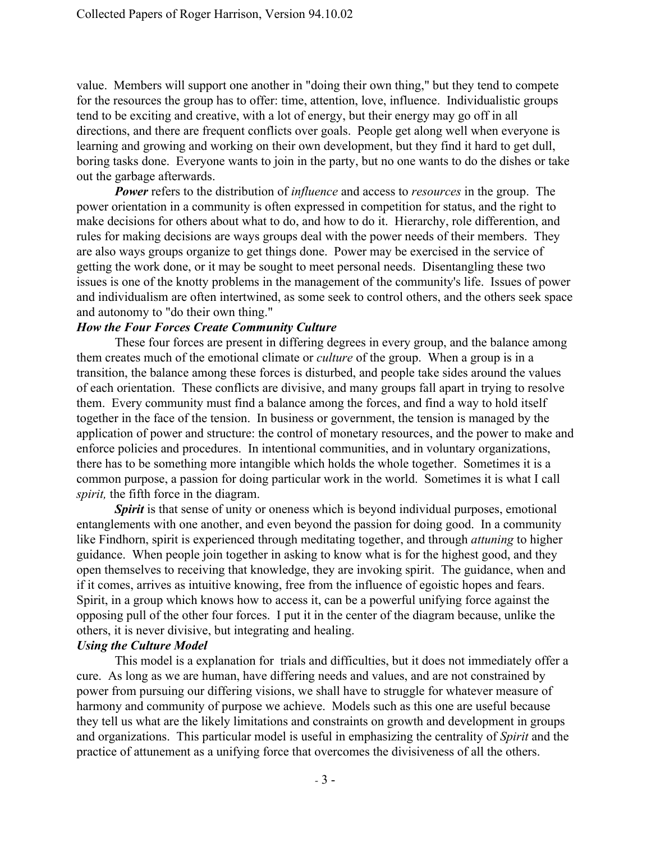value. Members will support one another in "doing their own thing," but they tend to compete for the resources the group has to offer: time, attention, love, influence. Individualistic groups tend to be exciting and creative, with a lot of energy, but their energy may go off in all directions, and there are frequent conflicts over goals. People get along well when everyone is learning and growing and working on their own development, but they find it hard to get dull, boring tasks done. Everyone wants to join in the party, but no one wants to do the dishes or take out the garbage afterwards.

**Power** refers to the distribution of *influence* and access to *resources* in the group. The power orientation in a community is often expressed in competition for status, and the right to make decisions for others about what to do, and how to do it. Hierarchy, role differention, and rules for making decisions are ways groups deal with the power needs of their members. They are also ways groups organize to get things done. Power may be exercised in the service of getting the work done, or it may be sought to meet personal needs. Disentangling these two issues is one of the knotty problems in the management of the community's life. Issues of power and individualism are often intertwined, as some seek to control others, and the others seek space and autonomy to "do their own thing."

### *How the Four Forces Create Community Culture*

These four forces are present in differing degrees in every group, and the balance among them creates much of the emotional climate or *culture* of the group. When a group is in a transition, the balance among these forces is disturbed, and people take sides around the values of each orientation. These conflicts are divisive, and many groups fall apart in trying to resolve them. Every community must find a balance among the forces, and find a way to hold itself together in the face of the tension. In business or government, the tension is managed by the application of power and structure: the control of monetary resources, and the power to make and enforce policies and procedures. In intentional communities, and in voluntary organizations, there has to be something more intangible which holds the whole together. Sometimes it is a common purpose, a passion for doing particular work in the world. Sometimes it is what I call *spirit*, the fifth force in the diagram.

**Spirit** is that sense of unity or oneness which is beyond individual purposes, emotional entanglements with one another, and even beyond the passion for doing good. In a community like Findhorn, spirit is experienced through meditating together, and through *attuning* to higher guidance. When people join together in asking to know what is for the highest good, and they open themselves to receiving that knowledge, they are invoking spirit. The guidance, when and if it comes, arrives as intuitive knowing, free from the influence of egoistic hopes and fears. Spirit, in a group which knows how to access it, can be a powerful unifying force against the opposing pull of the other four forces. I put it in the center of the diagram because, unlike the others, it is never divisive, but integrating and healing.

## *Using the Culture Model*

This model is a explanation for trials and difficulties, but it does not immediately offer a cure. As long as we are human, have differing needs and values, and are not constrained by power from pursuing our differing visions, we shall have to struggle for whatever measure of harmony and community of purpose we achieve. Models such as this one are useful because they tell us what are the likely limitations and constraints on growth and development in groups and organizations. This particular model is useful in emphasizing the centrality of *Spirit* and the practice of attunement as a unifying force that overcomes the divisiveness of all the others.